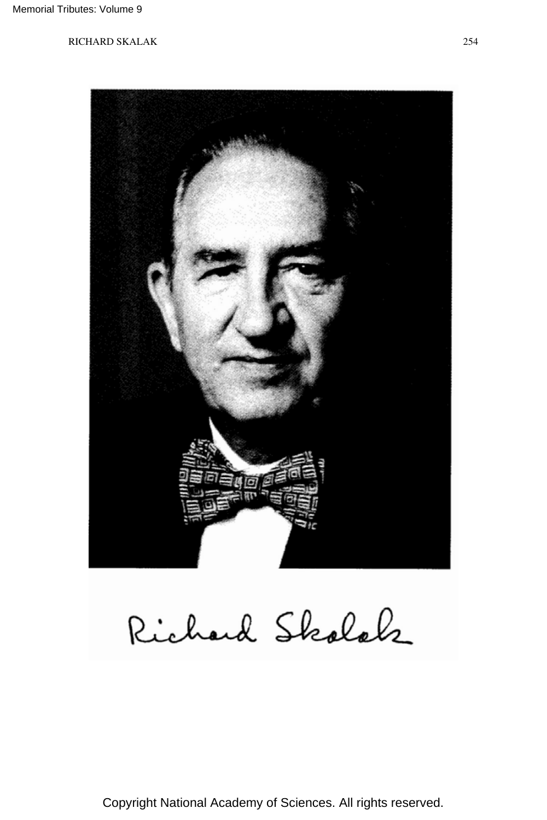

Richard Skolak

Copyright National Academy of Sciences. All rights reserved.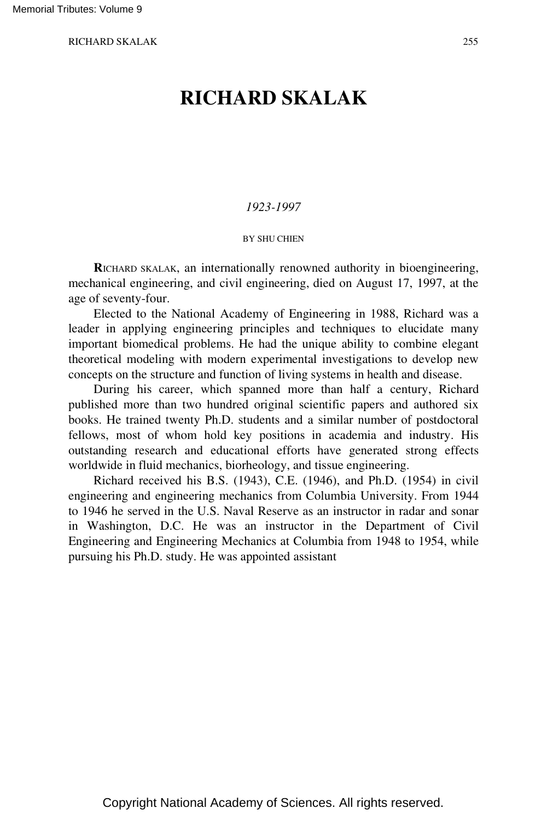# **RICHARD SKALAK**

### *1923-1997*

#### BY SHU CHIEN

**R**ICHARD SKALAK, an internationally renowned authority in bioengineering, mechanical engineering, and civil engineering, died on August 17, 1997, at the age of seventy-four.

Elected to the National Academy of Engineering in 1988, Richard was a leader in applying engineering principles and techniques to elucidate many important biomedical problems. He had the unique ability to combine elegant theoretical modeling with modern experimental investigations to develop new concepts on the structure and function of living systems in health and disease.

During his career, which spanned more than half a century, Richard published more than two hundred original scientific papers and authored six books. He trained twenty Ph.D. students and a similar number of postdoctoral fellows, most of whom hold key positions in academia and industry. His outstanding research and educational efforts have generated strong effects worldwide in fluid mechanics, biorheology, and tissue engineering.

Richard received his B.S. (1943), C.E. (1946), and Ph.D. (1954) in civil engineering and engineering mechanics from Columbia University. From 1944 to 1946 he served in the U.S. Naval Reserve as an instructor in radar and sonar in Washington, D.C. He was an instructor in the Department of Civil Engineering and Engineering Mechanics at Columbia from 1948 to 1954, while pursuing his Ph.D. study. He was appointed assistant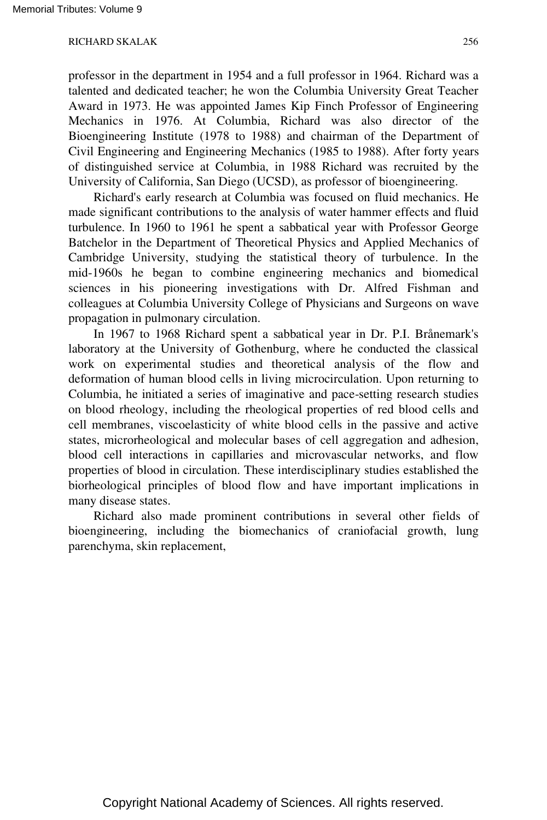professor in the department in 1954 and a full professor in 1964. Richard was a talented and dedicated teacher; he won the Columbia University Great Teacher Award in 1973. He was appointed James Kip Finch Professor of Engineering Mechanics in 1976. At Columbia, Richard was also director of the Bioengineering Institute (1978 to 1988) and chairman of the Department of Civil Engineering and Engineering Mechanics (1985 to 1988). After forty years of distinguished service at Columbia, in 1988 Richard was recruited by the University of California, San Diego (UCSD), as professor of bioengineering.

Richard's early research at Columbia was focused on fluid mechanics. He made significant contributions to the analysis of water hammer effects and fluid turbulence. In 1960 to 1961 he spent a sabbatical year with Professor George Batchelor in the Department of Theoretical Physics and Applied Mechanics of Cambridge University, studying the statistical theory of turbulence. In the mid-1960s he began to combine engineering mechanics and biomedical sciences in his pioneering investigations with Dr. Alfred Fishman and colleagues at Columbia University College of Physicians and Surgeons on wave propagation in pulmonary circulation.

In 1967 to 1968 Richard spent a sabbatical year in Dr. P.I. Brånemark's laboratory at the University of Gothenburg, where he conducted the classical work on experimental studies and theoretical analysis of the flow and deformation of human blood cells in living microcirculation. Upon returning to Columbia, he initiated a series of imaginative and pace-setting research studies on blood rheology, including the rheological properties of red blood cells and cell membranes, viscoelasticity of white blood cells in the passive and active states, microrheological and molecular bases of cell aggregation and adhesion, blood cell interactions in capillaries and microvascular networks, and flow properties of blood in circulation. These interdisciplinary studies established the biorheological principles of blood flow and have important implications in many disease states.

Richard also made prominent contributions in several other fields of bioengineering, including the biomechanics of craniofacial growth, lung parenchyma, skin replacement,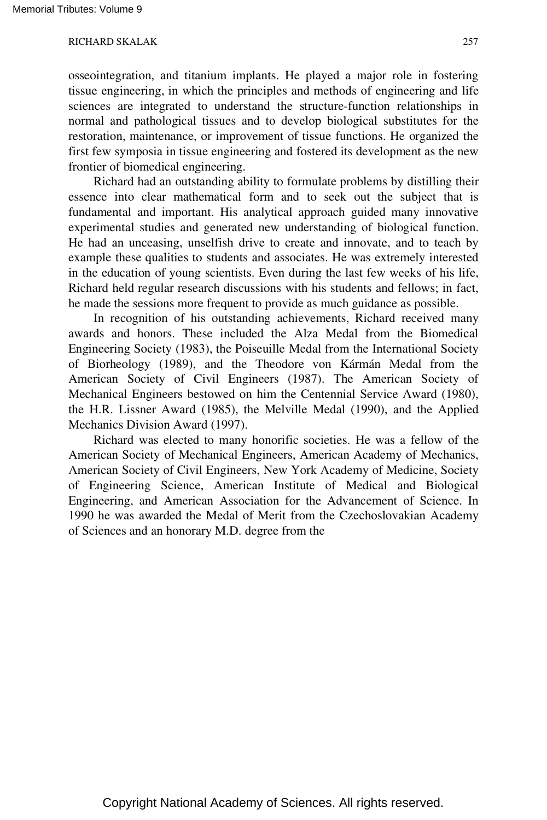osseointegration, and titanium implants. He played a major role in fostering tissue engineering, in which the principles and methods of engineering and life sciences are integrated to understand the structure-function relationships in normal and pathological tissues and to develop biological substitutes for the restoration, maintenance, or improvement of tissue functions. He organized the first few symposia in tissue engineering and fostered its development as the new frontier of biomedical engineering.

Richard had an outstanding ability to formulate problems by distilling their essence into clear mathematical form and to seek out the subject that is fundamental and important. His analytical approach guided many innovative experimental studies and generated new understanding of biological function. He had an unceasing, unselfish drive to create and innovate, and to teach by example these qualities to students and associates. He was extremely interested in the education of young scientists. Even during the last few weeks of his life, Richard held regular research discussions with his students and fellows; in fact, he made the sessions more frequent to provide as much guidance as possible.

In recognition of his outstanding achievements, Richard received many awards and honors. These included the Alza Medal from the Biomedical Engineering Society (1983), the Poiseuille Medal from the International Society of Biorheology (1989), and the Theodore von Kármán Medal from the American Society of Civil Engineers (1987). The American Society of Mechanical Engineers bestowed on him the Centennial Service Award (1980), the H.R. Lissner Award (1985), the Melville Medal (1990), and the Applied Mechanics Division Award (1997).

Richard was elected to many honorific societies. He was a fellow of the American Society of Mechanical Engineers, American Academy of Mechanics, American Society of Civil Engineers, New York Academy of Medicine, Society of Engineering Science, American Institute of Medical and Biological Engineering, and American Association for the Advancement of Science. In 1990 he was awarded the Medal of Merit from the Czechoslovakian Academy of Sciences and an honorary M.D. degree from the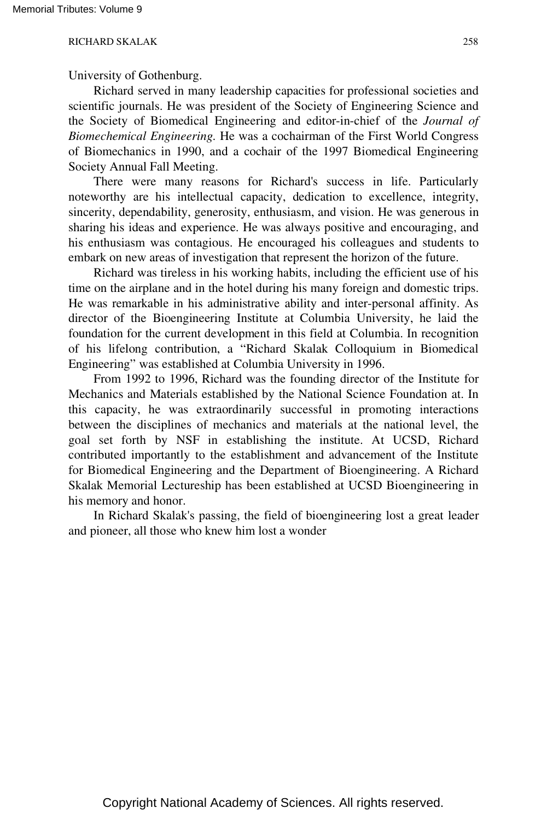University of Gothenburg.

Richard served in many leadership capacities for professional societies and scientific journals. He was president of the Society of Engineering Science and the Society of Biomedical Engineering and editor-in-chief of the *Journal of Biomechemical Engineering.* He was a cochairman of the First World Congress of Biomechanics in 1990, and a cochair of the 1997 Biomedical Engineering Society Annual Fall Meeting.

There were many reasons for Richard's success in life. Particularly noteworthy are his intellectual capacity, dedication to excellence, integrity, sincerity, dependability, generosity, enthusiasm, and vision. He was generous in sharing his ideas and experience. He was always positive and encouraging, and his enthusiasm was contagious. He encouraged his colleagues and students to embark on new areas of investigation that represent the horizon of the future.

Richard was tireless in his working habits, including the efficient use of his time on the airplane and in the hotel during his many foreign and domestic trips. He was remarkable in his administrative ability and inter-personal affinity. As director of the Bioengineering Institute at Columbia University, he laid the foundation for the current development in this field at Columbia. In recognition of his lifelong contribution, a "Richard Skalak Colloquium in Biomedical Engineering" was established at Columbia University in 1996.

From 1992 to 1996, Richard was the founding director of the Institute for Mechanics and Materials established by the National Science Foundation at. In this capacity, he was extraordinarily successful in promoting interactions between the disciplines of mechanics and materials at the national level, the goal set forth by NSF in establishing the institute. At UCSD, Richard contributed importantly to the establishment and advancement of the Institute for Biomedical Engineering and the Department of Bioengineering. A Richard Skalak Memorial Lectureship has been established at UCSD Bioengineering in his memory and honor.

In Richard Skalak's passing, the field of bioengineering lost a great leader and pioneer, all those who knew him lost a wonder